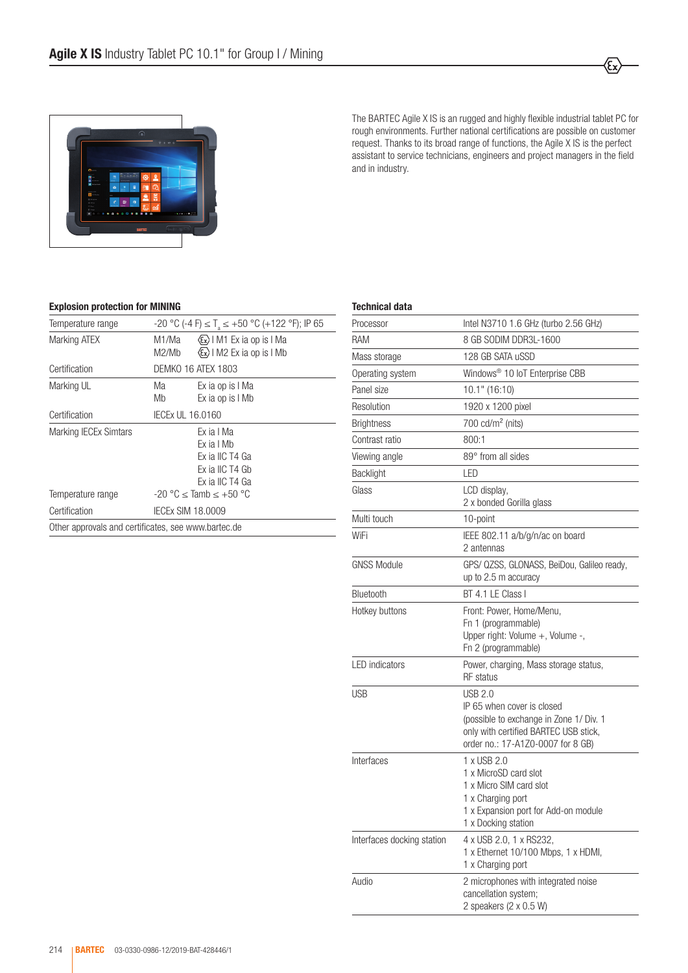

The BARTEC Agile X IS is an rugged and highly flexible industrial tablet PC for rough environments. Further national certifications are possible on customer request. Thanks to its broad range of functions, the Agile X IS is the perfect assistant to service technicians, engineers and project managers in the field and in industry.

ξ,

## Explosion protection for MINING

| Temperature range                                   | $-20$ °C (-4 F) $\leq$ T <sub>3</sub> $\leq$ +50 °C (+122 °F); IP 65 |                                                                                   |  |  |
|-----------------------------------------------------|----------------------------------------------------------------------|-----------------------------------------------------------------------------------|--|--|
| Marking ATEX                                        | M1/Ma<br>M2/Mb                                                       | (Ex) I M1 Ex ia op is I Ma<br>$\langle \epsilon \rangle$   M2 Ex ia op is   Mb    |  |  |
| Certification                                       | DEMKO 16 ATEX 1803                                                   |                                                                                   |  |  |
| Marking UL                                          | Ма<br>Mb                                                             | Ex ia op is I Ma<br>Ex ia op is I Mb                                              |  |  |
| Certification                                       | IECEx UL 16.0160                                                     |                                                                                   |  |  |
| <b>Marking IECEx Simtars</b>                        |                                                                      | Ex ia I Ma<br>Fx ia I Mh<br>Ex ia IIC T4 Ga<br>Ex ia IIC T4 Gb<br>Ex ia IIC T4 Ga |  |  |
| Temperature range                                   |                                                                      | $-20$ °C $<$ Tamb $< +50$ °C                                                      |  |  |
| Certification                                       | IECEX SIM 18.0009                                                    |                                                                                   |  |  |
| Other approvals and certificates, see www.bartec.de |                                                                      |                                                                                   |  |  |

| Technical data             |                                                                                                                                                                |  |  |
|----------------------------|----------------------------------------------------------------------------------------------------------------------------------------------------------------|--|--|
| Processor                  | Intel N3710 1.6 GHz (turbo 2.56 GHz)                                                                                                                           |  |  |
| RAM                        | 8 GB SODIM DDR3L-1600                                                                                                                                          |  |  |
| Mass storage               | 128 GB SATA uSSD                                                                                                                                               |  |  |
| Operating system           | Windows <sup>®</sup> 10 IoT Enterprise CBB                                                                                                                     |  |  |
| Panel size                 | 10.1" (16:10)                                                                                                                                                  |  |  |
| Resolution                 | 1920 x 1200 pixel                                                                                                                                              |  |  |
| <b>Brightness</b>          | 700 $cd/m2$ (nits)                                                                                                                                             |  |  |
| Contrast ratio             | 800:1                                                                                                                                                          |  |  |
| Viewing angle              | 89° from all sides                                                                                                                                             |  |  |
| Backlight                  | LED                                                                                                                                                            |  |  |
| Glass                      | LCD display,<br>2 x bonded Gorilla glass                                                                                                                       |  |  |
| Multi touch                | 10-point                                                                                                                                                       |  |  |
| WiFi                       | IEEE 802.11 a/b/g/n/ac on board<br>2 antennas                                                                                                                  |  |  |
| <b>GNSS Module</b>         | GPS/ QZSS, GLONASS, BeiDou, Galileo ready,<br>up to 2.5 m accuracy                                                                                             |  |  |
| Bluetooth                  | BT 4.1 LE Class I                                                                                                                                              |  |  |
| Hotkey buttons             | Front: Power, Home/Menu,<br>Fn 1 (programmable)<br>Upper right: Volume +, Volume -,<br>Fn 2 (programmable)                                                     |  |  |
| <b>LED</b> indicators      | Power, charging, Mass storage status,<br><b>RF</b> status                                                                                                      |  |  |
| USB                        | USB 2.0<br>IP 65 when cover is closed<br>(possible to exchange in Zone 1/ Div. 1<br>only with certified BARTEC USB stick,<br>order no.: 17-A1Z0-0007 for 8 GB) |  |  |
| Interfaces                 | 1 x USB 2.0<br>1 x MicroSD card slot<br>1 x Micro SIM card slot<br>1 x Charging port<br>1 x Expansion port for Add-on module<br>1 x Docking station            |  |  |
| Interfaces docking station | 4 x USB 2.0, 1 x RS232,<br>1 x Ethernet 10/100 Mbps, 1 x HDMI,<br>1 x Charging port                                                                            |  |  |
| Audio                      | 2 microphones with integrated noise<br>cancellation system;<br>2 speakers (2 x 0.5 W)                                                                          |  |  |
|                            |                                                                                                                                                                |  |  |